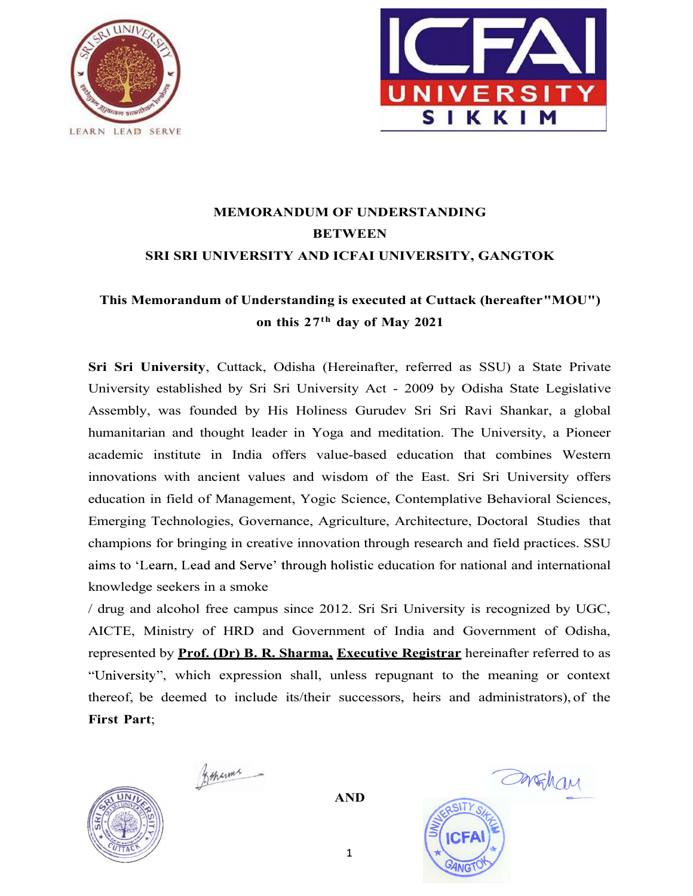



# MEMORANDUM OF UNDERSTANDING **BETWEEN** SRI SRI UNIVERSITY AND ICFAI UNIVERSITY, GANGTOK

## This Memorandum of Understanding is executed at Cuttack (hereafter "MOU") on this 27th day of May 2021

Sri Sri University, Cuttack, Odisha (Hereinafter, referred as SSU) a State Private University established by Sri Sri University Act - 2009 by Odisha State Legislative Assembly, was founded by His Holiness Gurudev Sri Sri Ravi Shankar, a global humanitarian and thought leader in Yoga and meditation. The University, a Pioneer academic institute in India offers value-based education that combines Western innovations with ancient values and wisdom of the East. Sri Sri University offers education in field of Management, Yogic Science, Contemplative Behavioral Sciences, Emerging Technologies, Governance, Agriculture, Architecture, Doctoral Studies that champions for bringing in creative innovation through research and field practices. SSU aims to 'Learn, Lead and Serve' through holistic education for national and international knowledge seekers in a smoke

/ drug and alcohol free campus since 2012. Sri Sri University is recognized by UGC, AICTE, Ministry of HRD and Government of India and Government of Odisha, represented by Prof. (Dr) B. R. Sharma, Executive Registrar hereinafter referred to as "University", which expression shall, unless repugnant to the meaning or context thereof, be deemed to include its/their successors, heirs and administrators), of the First Part;



3 sharma

AND



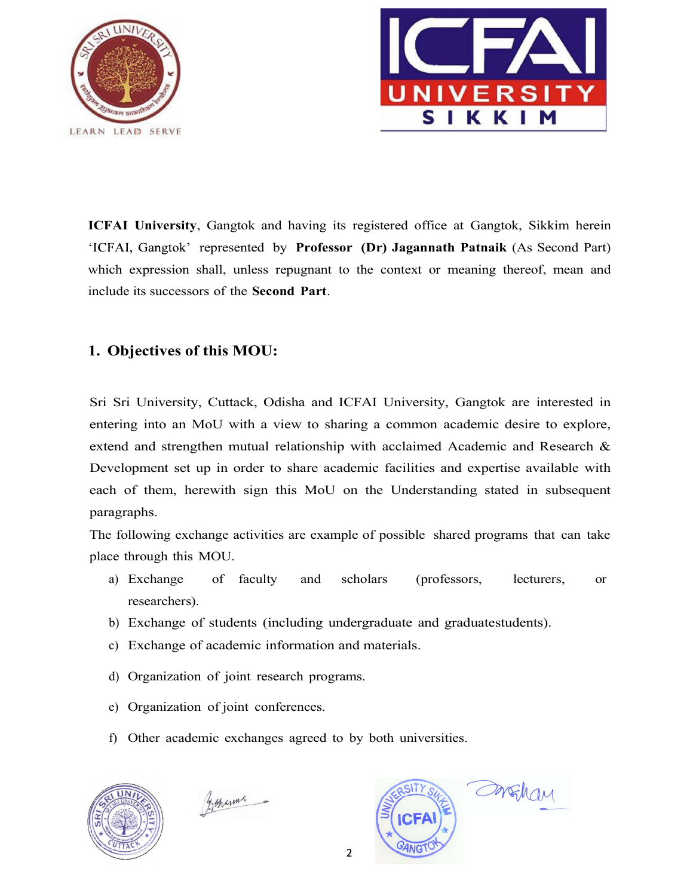



ICFAI University, Gangtok and having its registered office at Gangtok, Sikkim herein 'ICFAI, Gangtok' represented by Professor (Dr) Jagannath Patnaik (As Second Part) which expression shall, unless repugnant to the context or meaning thereof, mean and include its successors of the Second Part.

### 1. Objectives of this MOU:

Sri Sri University, Cuttack, Odisha and ICFAI University, Gangtok are interested in entering into an MoU with a view to sharing a common academic desire to explore, extend and strengthen mutual relationship with acclaimed Academic and Research & Development set up in order to share academic facilities and expertise available with each of them, herewith sign this MoU on the Understanding stated in subsequent paragraphs.

The following exchange activities are example of possible shared programs that can take place through this MOU.

- a) Exchange of faculty and scholars (professors, lecturers, or researchers).
- b) Exchange of students (including undergraduate and graduate students).
- c) Exchange of academic information and materials.
- d) Organization of joint research programs.
- e) Organization of joint conferences.
- f) Other academic exchanges agreed to by both universities.



Feranna

OrFhan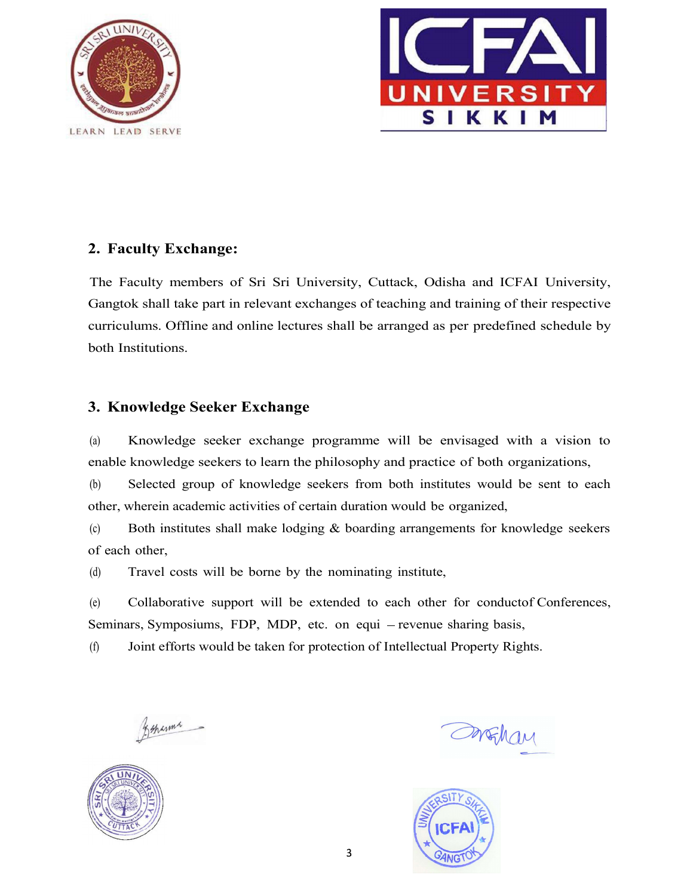



#### 2. Faculty Exchange:

The Faculty members of Sri Sri University, Cuttack, Odisha and ICFAI University, Gangtok shall take part in relevant exchanges of teaching and training of their respective curriculums. Offline and online lectures shall be arranged as per predefined schedule by both Institutions.

#### 3. Knowledge Seeker Exchange

(a) Knowledge seeker exchange programme will be envisaged with a vision to enable knowledge seekers to learn the philosophy and practice of both organizations,

(b) Selected group of knowledge seekers from both institutes would be sent to each other, wherein academic activities of certain duration would be organized,

(c) Both institutes shall make lodging & boarding arrangements for knowledge seekers of each other,

(d) Travel costs will be borne by the nominating institute,

 $(e)$  Collaborative support will be extended to each other for conduct of Conferences, Seminars, Symposiums, FDP, MDP, etc. on equi - revenue sharing basis,

(f) Joint efforts would be taken for protection of Intellectual Property Rights.

Beharma



DrEhan

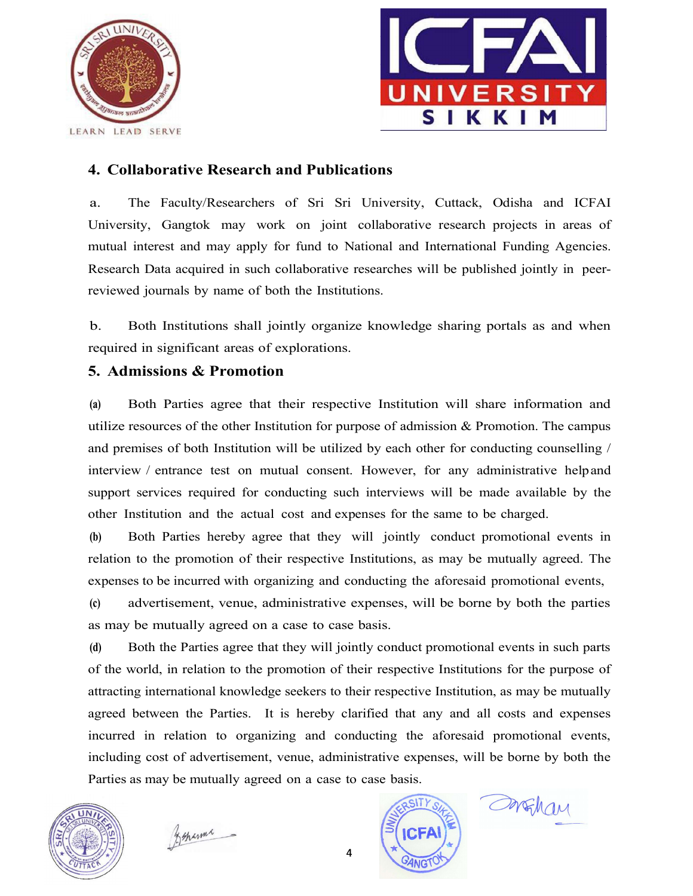



### 4. Collaborative Research and Publications

a. The Faculty/Researchers of Sri Sri University, Cuttack, Odisha and ICFAI University, Gangtok may work on joint collaborative research projects in areas of mutual interest and may apply for fund to National and International Funding Agencies. Research Data acquired in such collaborative researches will be published jointly in peerreviewed journals by name of both the Institutions.

b. Both Institutions shall jointly organize knowledge sharing portals as and when required in significant areas of explorations.

#### 5. Admissions & Promotion

(a) Both Parties agree that their respective Institution will share information and utilize resources of the other Institution for purpose of admission & Promotion. The campus and premises of both Institution will be utilized by each other for conducting counselling / interview / entrance test on mutual consent. However, for any administrative help and support services required for conducting such interviews will be made available by the other Institution and the actual cost and expenses for the same to be charged.

(b) Both Parties hereby agree that they will jointly conduct promotional events in relation to the promotion of their respective Institutions, as may be mutually agreed. The expenses to be incurred with organizing and conducting the aforesaid promotional events,

(c) advertisement, venue, administrative expenses, will be borne by both the parties as may be mutually agreed on a case to case basis.

(d) Both the Parties agree that they will jointly conduct promotional events in such parts of the world, in relation to the promotion of their respective Institutions for the purpose of attracting international knowledge seekers to their respective Institution, as may be mutually agreed between the Parties. It is hereby clarified that any and all costs and expenses and premises of both Institution will be utilized by each other for conducting counselling /<br>interview / entrance test on mutual consent. However, for any administrative helpand<br>support services required for conducting su including cost of advertisement, venue, administrative expenses, will be borne by both the Parties as may be mutually agreed on a case to case basis.



zehanne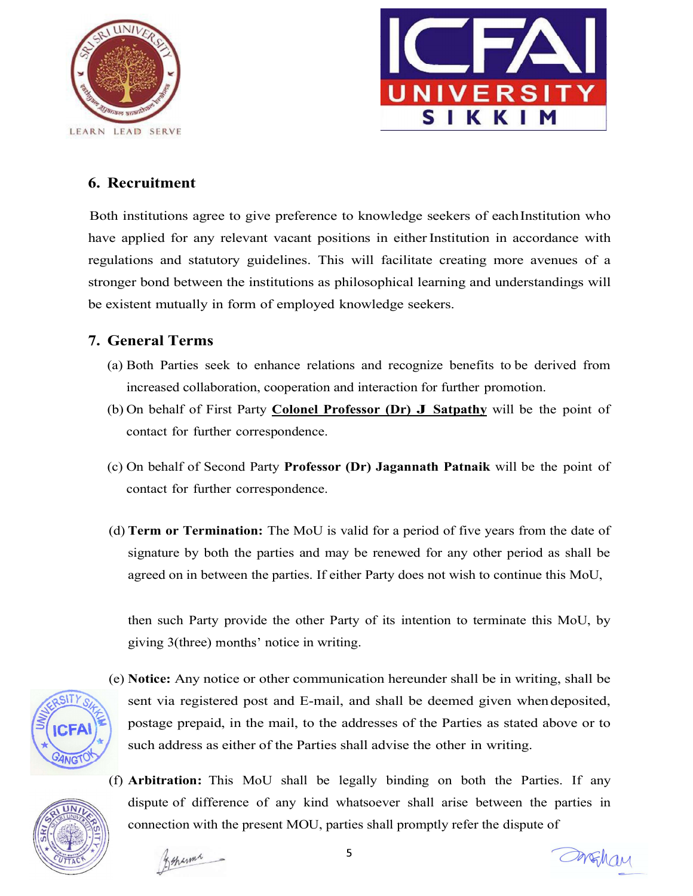



#### 6. Recruitment

Both institutions agree to give preference to knowledge seekers of each Institution who have applied for any relevant vacant positions in either Institution in accordance with regulations and statutory guidelines. This will facilitate creating more avenues of a stronger bond between the institutions as philosophical learning and understandings will be existent mutually in form of employed knowledge seekers.

#### 7. General Terms

- (a) Both Parties seek to enhance relations and recognize benefits to be derived from increased collaboration, cooperation and interaction for further promotion.
- (b) On behalf of First Party **Colonel Professor (Dr) J Satpathy** will be the point of contact for further correspondence.
- (c) On behalf of Second Party Professor (Dr) Jagannath Patnaik will be the point of contact for further correspondence.
- (d) Term or Termination: The MoU is valid for a period of five years from the date of signature by both the parties and may be renewed for any other period as shall be agreed on in between the parties. If either Party does not wish to continue this MoU,

then such Party provide the other Party of its intention to terminate this MoU, by giving 3(three) months' notice in writing.



- (e) Notice: Any notice or other communication hereunder shall be in writing, shall be sent via registered post and E-mail, and shall be deemed given when deposited, postage prepaid, in the mail, to the addresses of the Parties as stated above or to such address as either of the Parties shall advise the other in writing.
- 
- (f) Arbitration: This MoU shall be legally binding on both the Parties. If any dispute of difference of any kind whatsoever shall arise between the parties in connection with the present MOU, parties shall promptly refer the dispute of

Foranna